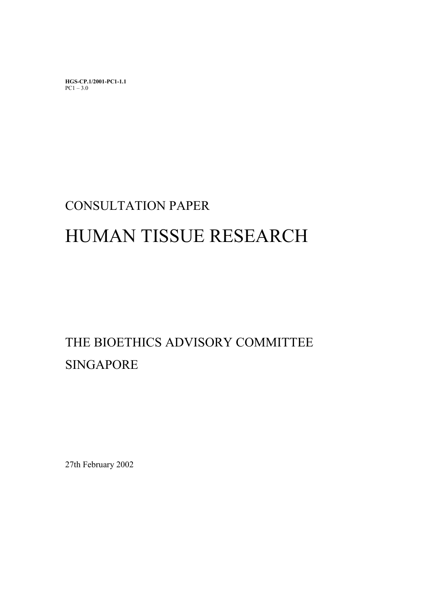**HGS-CP.1/2001-PC1-1.1**   $PC1 - 3.0$ 

# CONSULTATION PAPER

# HUMAN TISSUE RESEARCH

# THE BIOETHICS ADVISORY COMMITTEE SINGAPORE

27th February 2002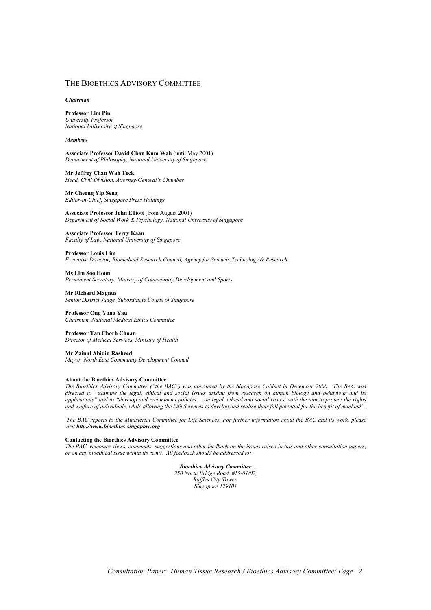#### THE BIOETHICS ADVISORY COMMITTEE

#### *Chairman*

**Professor Lim Pin** *University Professor National University of Singpaore* 

#### *Members*

**Associate Professor David Chan Kum Wah** (until May 2001) *Department of Philosophy, National University of Singapore* 

**Mr Jeffrey Chan Wah Teck**  *Head, Civil Division, Attorney-General's Chamber* 

#### **Mr Cheong Yip Seng**

*Editor-in-Chief, Singapore Press Holdings* 

**Associate Professor John Elliott** (from August 2001) *Department of Social Work & Psychology, National University of Singapore* 

**Associate Professor Terry Kaan**  *Faculty of Law, National University of Singapore* 

**Professor Louis Lim**  *Executive Director, Biomedical Research Council, Agency for Science, Technology & Research* 

**Ms Lim Soo Hoon**  *Permanent Secretary, Ministry of Coummunity Development and Sports* 

**Mr Richard Magnus**  *Senior District Judge, Subordinate Courts of Singapore* 

**Professor Ong Yong Yau**  *Chairman, National Medical Ethics Committee* 

**Professor Tan Chorh Chuan**  *Director of Medical Services, Ministry of Health* 

**Mr Zainul Abidin Rasheed**  *Mayor, North East Community Development Council* 

#### **About the Bioethics Advisory Committee**

*The Bioethics Advisory Committee ("the BAC") was appointed by the Singapore Cabinet in December 2000. The BAC was directed to "examine the legal, ethical and social issues arising from research on human biology and behaviour and its applications" and to "develop and recommend policies ... on legal, ethical and social issues, with the aim to protect the rights and welfare of individuals, while allowing the Life Sciences to develop and realise their full potential for the benefit of mankind".* 

 *The BAC reports to the Ministerial Committee for Life Sciences. For further information about the BAC and its work, please visit http://www.bioethics-singapore.org*

#### **Contacting the Bioethics Advisory Committee**

*The BAC welcomes views, comments, suggestions and other feedback on the issues raised in this and other consultation papers, or on any bioethical issue within its remit. All feedback should be addressed to:* 

*Bioethics Advisory Committee* 

*250 North Bridge Road, #15-01/02, Raffles City Tower, Singapore 179101*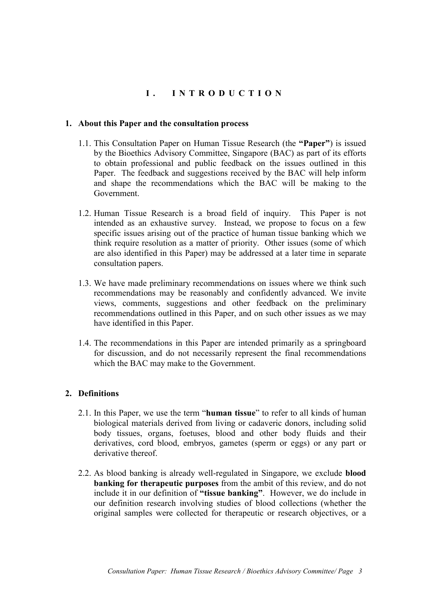# **I. INTRODUCTION**

# **1. About this Paper and the consultation process**

- 1.1. This Consultation Paper on Human Tissue Research (the **"Paper"**) is issued by the Bioethics Advisory Committee, Singapore (BAC) as part of its efforts to obtain professional and public feedback on the issues outlined in this Paper. The feedback and suggestions received by the BAC will help inform and shape the recommendations which the BAC will be making to the Government.
- 1.2. Human Tissue Research is a broad field of inquiry. This Paper is not intended as an exhaustive survey. Instead, we propose to focus on a few specific issues arising out of the practice of human tissue banking which we think require resolution as a matter of priority. Other issues (some of which are also identified in this Paper) may be addressed at a later time in separate consultation papers.
- 1.3. We have made preliminary recommendations on issues where we think such recommendations may be reasonably and confidently advanced. We invite views, comments, suggestions and other feedback on the preliminary recommendations outlined in this Paper, and on such other issues as we may have identified in this Paper.
- 1.4. The recommendations in this Paper are intended primarily as a springboard for discussion, and do not necessarily represent the final recommendations which the BAC may make to the Government.

# **2. Definitions**

- 2.1. In this Paper, we use the term "**human tissue**" to refer to all kinds of human biological materials derived from living or cadaveric donors, including solid body tissues, organs, foetuses, blood and other body fluids and their derivatives, cord blood, embryos, gametes (sperm or eggs) or any part or derivative thereof.
- 2.2. As blood banking is already well-regulated in Singapore, we exclude **blood banking for therapeutic purposes** from the ambit of this review, and do not include it in our definition of **"tissue banking"**. However, we do include in our definition research involving studies of blood collections (whether the original samples were collected for therapeutic or research objectives, or a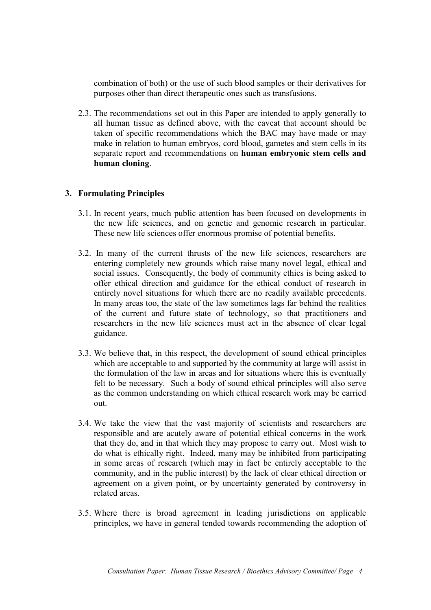combination of both) or the use of such blood samples or their derivatives for purposes other than direct therapeutic ones such as transfusions.

2.3. The recommendations set out in this Paper are intended to apply generally to all human tissue as defined above, with the caveat that account should be taken of specific recommendations which the BAC may have made or may make in relation to human embryos, cord blood, gametes and stem cells in its separate report and recommendations on **human embryonic stem cells and human cloning**.

# **3. Formulating Principles**

- 3.1. In recent years, much public attention has been focused on developments in the new life sciences, and on genetic and genomic research in particular. These new life sciences offer enormous promise of potential benefits.
- 3.2. In many of the current thrusts of the new life sciences, researchers are entering completely new grounds which raise many novel legal, ethical and social issues. Consequently, the body of community ethics is being asked to offer ethical direction and guidance for the ethical conduct of research in entirely novel situations for which there are no readily available precedents. In many areas too, the state of the law sometimes lags far behind the realities of the current and future state of technology, so that practitioners and researchers in the new life sciences must act in the absence of clear legal guidance.
- 3.3. We believe that, in this respect, the development of sound ethical principles which are acceptable to and supported by the community at large will assist in the formulation of the law in areas and for situations where this is eventually felt to be necessary. Such a body of sound ethical principles will also serve as the common understanding on which ethical research work may be carried out.
- 3.4. We take the view that the vast majority of scientists and researchers are responsible and are acutely aware of potential ethical concerns in the work that they do, and in that which they may propose to carry out. Most wish to do what is ethically right. Indeed, many may be inhibited from participating in some areas of research (which may in fact be entirely acceptable to the community, and in the public interest) by the lack of clear ethical direction or agreement on a given point, or by uncertainty generated by controversy in related areas.
- 3.5. Where there is broad agreement in leading jurisdictions on applicable principles, we have in general tended towards recommending the adoption of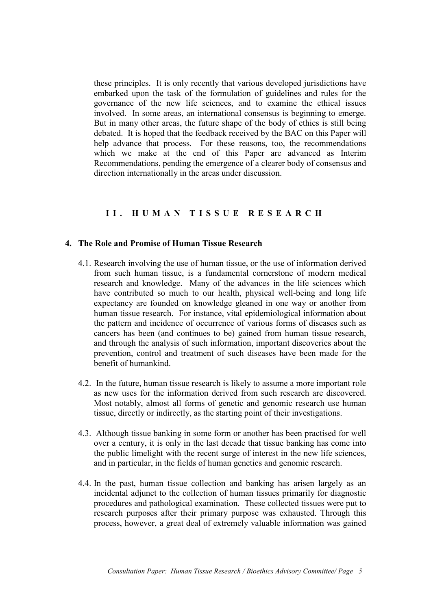these principles. It is only recently that various developed jurisdictions have embarked upon the task of the formulation of guidelines and rules for the governance of the new life sciences, and to examine the ethical issues involved. In some areas, an international consensus is beginning to emerge. But in many other areas, the future shape of the body of ethics is still being debated. It is hoped that the feedback received by the BAC on this Paper will help advance that process. For these reasons, too, the recommendations which we make at the end of this Paper are advanced as Interim Recommendations, pending the emergence of a clearer body of consensus and direction internationally in the areas under discussion.

# **II. HUMAN TISSUE RESEARCH**

# **4. The Role and Promise of Human Tissue Research**

- 4.1. Research involving the use of human tissue, or the use of information derived from such human tissue, is a fundamental cornerstone of modern medical research and knowledge. Many of the advances in the life sciences which have contributed so much to our health, physical well-being and long life expectancy are founded on knowledge gleaned in one way or another from human tissue research. For instance, vital epidemiological information about the pattern and incidence of occurrence of various forms of diseases such as cancers has been (and continues to be) gained from human tissue research, and through the analysis of such information, important discoveries about the prevention, control and treatment of such diseases have been made for the benefit of humankind.
- 4.2. In the future, human tissue research is likely to assume a more important role as new uses for the information derived from such research are discovered. Most notably, almost all forms of genetic and genomic research use human tissue, directly or indirectly, as the starting point of their investigations.
- 4.3. Although tissue banking in some form or another has been practised for well over a century, it is only in the last decade that tissue banking has come into the public limelight with the recent surge of interest in the new life sciences, and in particular, in the fields of human genetics and genomic research.
- 4.4. In the past, human tissue collection and banking has arisen largely as an incidental adjunct to the collection of human tissues primarily for diagnostic procedures and pathological examination. These collected tissues were put to research purposes after their primary purpose was exhausted. Through this process, however, a great deal of extremely valuable information was gained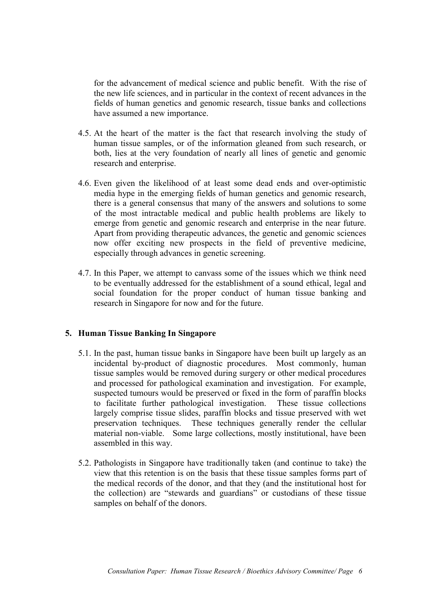for the advancement of medical science and public benefit. With the rise of the new life sciences, and in particular in the context of recent advances in the fields of human genetics and genomic research, tissue banks and collections have assumed a new importance.

- 4.5. At the heart of the matter is the fact that research involving the study of human tissue samples, or of the information gleaned from such research, or both, lies at the very foundation of nearly all lines of genetic and genomic research and enterprise.
- 4.6. Even given the likelihood of at least some dead ends and over-optimistic media hype in the emerging fields of human genetics and genomic research, there is a general consensus that many of the answers and solutions to some of the most intractable medical and public health problems are likely to emerge from genetic and genomic research and enterprise in the near future. Apart from providing therapeutic advances, the genetic and genomic sciences now offer exciting new prospects in the field of preventive medicine, especially through advances in genetic screening.
- 4.7. In this Paper, we attempt to canvass some of the issues which we think need to be eventually addressed for the establishment of a sound ethical, legal and social foundation for the proper conduct of human tissue banking and research in Singapore for now and for the future.

## **5. Human Tissue Banking In Singapore**

- 5.1. In the past, human tissue banks in Singapore have been built up largely as an incidental by-product of diagnostic procedures. Most commonly, human tissue samples would be removed during surgery or other medical procedures and processed for pathological examination and investigation. For example, suspected tumours would be preserved or fixed in the form of paraffin blocks to facilitate further pathological investigation. These tissue collections largely comprise tissue slides, paraffin blocks and tissue preserved with wet preservation techniques. These techniques generally render the cellular material non-viable. Some large collections, mostly institutional, have been assembled in this way.
- 5.2. Pathologists in Singapore have traditionally taken (and continue to take) the view that this retention is on the basis that these tissue samples forms part of the medical records of the donor, and that they (and the institutional host for the collection) are "stewards and guardians" or custodians of these tissue samples on behalf of the donors.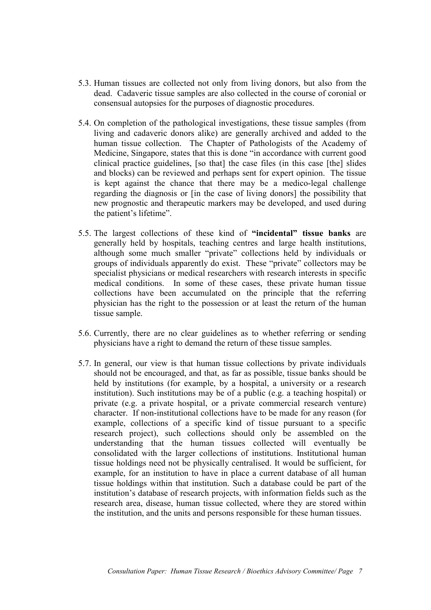- 5.3. Human tissues are collected not only from living donors, but also from the dead. Cadaveric tissue samples are also collected in the course of coronial or consensual autopsies for the purposes of diagnostic procedures.
- 5.4. On completion of the pathological investigations, these tissue samples (from living and cadaveric donors alike) are generally archived and added to the human tissue collection. The Chapter of Pathologists of the Academy of Medicine, Singapore, states that this is done "in accordance with current good clinical practice guidelines, [so that] the case files (in this case [the] slides and blocks) can be reviewed and perhaps sent for expert opinion. The tissue is kept against the chance that there may be a medico-legal challenge regarding the diagnosis or [in the case of living donors] the possibility that new prognostic and therapeutic markers may be developed, and used during the patient's lifetime".
- 5.5. The largest collections of these kind of **"incidental" tissue banks** are generally held by hospitals, teaching centres and large health institutions, although some much smaller "private" collections held by individuals or groups of individuals apparently do exist. These "private" collectors may be specialist physicians or medical researchers with research interests in specific medical conditions. In some of these cases, these private human tissue collections have been accumulated on the principle that the referring physician has the right to the possession or at least the return of the human tissue sample.
- 5.6. Currently, there are no clear guidelines as to whether referring or sending physicians have a right to demand the return of these tissue samples.
- 5.7. In general, our view is that human tissue collections by private individuals should not be encouraged, and that, as far as possible, tissue banks should be held by institutions (for example, by a hospital, a university or a research institution). Such institutions may be of a public (e.g. a teaching hospital) or private (e.g. a private hospital, or a private commercial research venture) character. If non-institutional collections have to be made for any reason (for example, collections of a specific kind of tissue pursuant to a specific research project), such collections should only be assembled on the understanding that the human tissues collected will eventually be consolidated with the larger collections of institutions. Institutional human tissue holdings need not be physically centralised. It would be sufficient, for example, for an institution to have in place a current database of all human tissue holdings within that institution. Such a database could be part of the institution's database of research projects, with information fields such as the research area, disease, human tissue collected, where they are stored within the institution, and the units and persons responsible for these human tissues.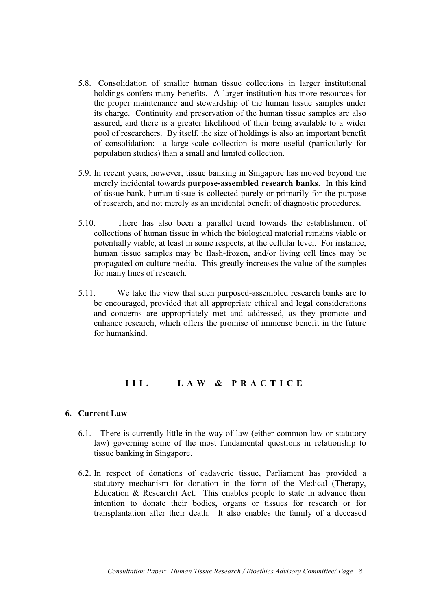- 5.8. Consolidation of smaller human tissue collections in larger institutional holdings confers many benefits. A larger institution has more resources for the proper maintenance and stewardship of the human tissue samples under its charge. Continuity and preservation of the human tissue samples are also assured, and there is a greater likelihood of their being available to a wider pool of researchers. By itself, the size of holdings is also an important benefit of consolidation: a large-scale collection is more useful (particularly for population studies) than a small and limited collection.
- 5.9. In recent years, however, tissue banking in Singapore has moved beyond the merely incidental towards **purpose-assembled research banks**. In this kind of tissue bank, human tissue is collected purely or primarily for the purpose of research, and not merely as an incidental benefit of diagnostic procedures.
- 5.10. There has also been a parallel trend towards the establishment of collections of human tissue in which the biological material remains viable or potentially viable, at least in some respects, at the cellular level. For instance, human tissue samples may be flash-frozen, and/or living cell lines may be propagated on culture media. This greatly increases the value of the samples for many lines of research.
- 5.11. We take the view that such purposed-assembled research banks are to be encouraged, provided that all appropriate ethical and legal considerations and concerns are appropriately met and addressed, as they promote and enhance research, which offers the promise of immense benefit in the future for humankind.

# **III. LAW & PRACTICE**

# **6. Current Law**

- 6.1. There is currently little in the way of law (either common law or statutory law) governing some of the most fundamental questions in relationship to tissue banking in Singapore.
- 6.2. In respect of donations of cadaveric tissue, Parliament has provided a statutory mechanism for donation in the form of the Medical (Therapy, Education & Research) Act. This enables people to state in advance their intention to donate their bodies, organs or tissues for research or for transplantation after their death. It also enables the family of a deceased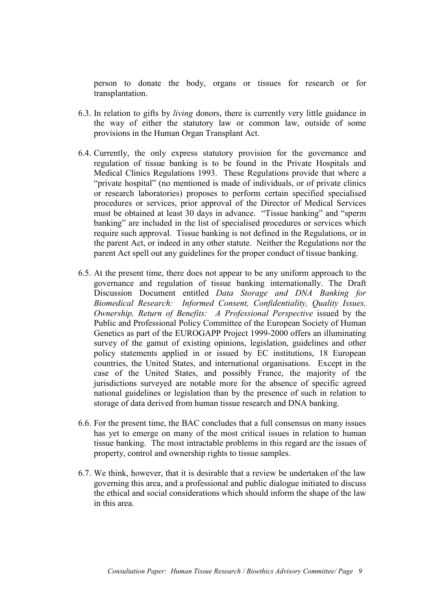person to donate the body, organs or tissues for research or for transplantation.

- 6.3. In relation to gifts by *living* donors, there is currently very little guidance in the way of either the statutory law or common law, outside of some provisions in the Human Organ Transplant Act.
- 6.4. Currently, the only express statutory provision for the governance and regulation of tissue banking is to be found in the Private Hospitals and Medical Clinics Regulations 1993. These Regulations provide that where a "private hospital" (no mentioned is made of individuals, or of private clinics or research laboratories) proposes to perform certain specified specialised procedures or services, prior approval of the Director of Medical Services must be obtained at least 30 days in advance. "Tissue banking" and "sperm banking" are included in the list of specialised procedures or services which require such approval. Tissue banking is not defined in the Regulations, or in the parent Act, or indeed in any other statute. Neither the Regulations nor the parent Act spell out any guidelines for the proper conduct of tissue banking.
- 6.5. At the present time, there does not appear to be any uniform approach to the governance and regulation of tissue banking internationally. The Draft Discussion Document entitled *Data Storage and DNA Banking for Biomedical Research: Informed Consent, Confidentiality, Quality Issues, Ownership, Return of Benefits: A Professional Perspective* issued by the Public and Professional Policy Committee of the European Society of Human Genetics as part of the EUROGAPP Project 1999-2000 offers an illuminating survey of the gamut of existing opinions, legislation, guidelines and other policy statements applied in or issued by EC institutions, 18 European countries, the United States, and international organisations. Except in the case of the United States, and possibly France, the majority of the jurisdictions surveyed are notable more for the absence of specific agreed national guidelines or legislation than by the presence of such in relation to storage of data derived from human tissue research and DNA banking.
- 6.6. For the present time, the BAC concludes that a full consensus on many issues has yet to emerge on many of the most critical issues in relation to human tissue banking. The most intractable problems in this regard are the issues of property, control and ownership rights to tissue samples.
- 6.7. We think, however, that it is desirable that a review be undertaken of the law governing this area, and a professional and public dialogue initiated to discuss the ethical and social considerations which should inform the shape of the law in this area.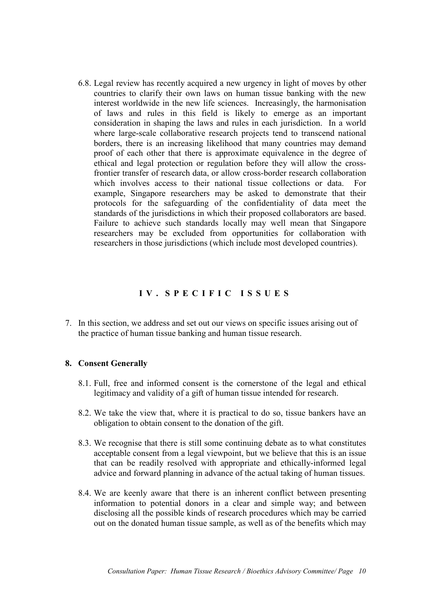6.8. Legal review has recently acquired a new urgency in light of moves by other countries to clarify their own laws on human tissue banking with the new interest worldwide in the new life sciences. Increasingly, the harmonisation of laws and rules in this field is likely to emerge as an important consideration in shaping the laws and rules in each jurisdiction. In a world where large-scale collaborative research projects tend to transcend national borders, there is an increasing likelihood that many countries may demand proof of each other that there is approximate equivalence in the degree of ethical and legal protection or regulation before they will allow the crossfrontier transfer of research data, or allow cross-border research collaboration which involves access to their national tissue collections or data. For example, Singapore researchers may be asked to demonstrate that their protocols for the safeguarding of the confidentiality of data meet the standards of the jurisdictions in which their proposed collaborators are based. Failure to achieve such standards locally may well mean that Singapore researchers may be excluded from opportunities for collaboration with researchers in those jurisdictions (which include most developed countries).

# **IV. SPECIFIC ISSUES**

7. In this section, we address and set out our views on specific issues arising out of the practice of human tissue banking and human tissue research.

#### **8. Consent Generally**

- 8.1. Full, free and informed consent is the cornerstone of the legal and ethical legitimacy and validity of a gift of human tissue intended for research.
- 8.2. We take the view that, where it is practical to do so, tissue bankers have an obligation to obtain consent to the donation of the gift.
- 8.3. We recognise that there is still some continuing debate as to what constitutes acceptable consent from a legal viewpoint, but we believe that this is an issue that can be readily resolved with appropriate and ethically-informed legal advice and forward planning in advance of the actual taking of human tissues.
- 8.4. We are keenly aware that there is an inherent conflict between presenting information to potential donors in a clear and simple way; and between disclosing all the possible kinds of research procedures which may be carried out on the donated human tissue sample, as well as of the benefits which may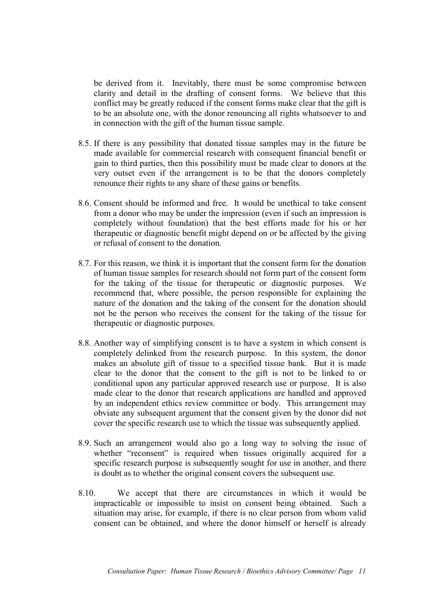be derived from it. Inevitably, there must be some compromise between clarity and detail in the drafting of consent forms. We believe that this conflict may be greatly reduced if the consent forms make clear that the gift is to be an absolute one, with the donor renouncing all rights whatsoever to and in connection with the gift of the human tissue sample.

- 8.5. If there is any possibility that donated tissue samples may in the future be made available for commercial research with consequent financial benefit or gain to third parties, then this possibility must be made clear to donors at the very outset even if the arrangement is to be that the donors completely renounce their rights to any share of these gains or benefits.
- 8.6. Consent should be informed and free. It would be unethical to take consent from a donor who may be under the impression (even if such an impression is completely without foundation) that the best efforts made for his or her therapeutic or diagnostic benefit might depend on or be affected by the giving or refusal of consent to the donation.
- 8.7. For this reason, we think it is important that the consent form for the donation of human tissue samples for research should not form part of the consent form for the taking of the tissue for therapeutic or diagnostic purposes. We recommend that, where possible, the person responsible for explaining the nature of the donation and the taking of the consent for the donation should not be the person who receives the consent for the taking of the tissue for therapeutic or diagnostic purposes.
- 8.8. Another way of simplifying consent is to have a system in which consent is completely delinked from the research purpose. In this system, the donor makes an absolute gift of tissue to a specified tissue bank. But it is made clear to the donor that the consent to the gift is not to be linked to or conditional upon any particular approved research use or purpose. It is also made clear to the donor that research applications are handled and approved by an independent ethics review committee or body. This arrangement may obviate any subsequent argument that the consent given by the donor did not cover the specific research use to which the tissue was subsequently applied.
- 8.9. Such an arrangement would also go a long way to solving the issue of whether "reconsent" is required when tissues originally acquired for a specific research purpose is subsequently sought for use in another, and there is doubt as to whether the original consent covers the subsequent use.
- 8.10. We accept that there are circumstances in which it would be impracticable or impossible to insist on consent being obtained. Such a situation may arise, for example, if there is no clear person from whom valid consent can be obtained, and where the donor himself or herself is already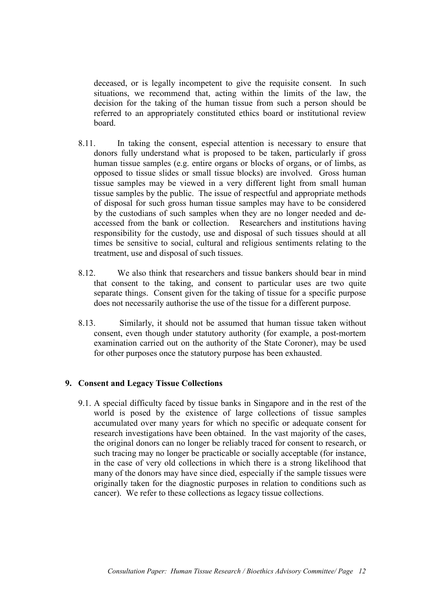deceased, or is legally incompetent to give the requisite consent. In such situations, we recommend that, acting within the limits of the law, the decision for the taking of the human tissue from such a person should be referred to an appropriately constituted ethics board or institutional review board.

- 8.11. In taking the consent, especial attention is necessary to ensure that donors fully understand what is proposed to be taken, particularly if gross human tissue samples (e.g. entire organs or blocks of organs, or of limbs, as opposed to tissue slides or small tissue blocks) are involved. Gross human tissue samples may be viewed in a very different light from small human tissue samples by the public. The issue of respectful and appropriate methods of disposal for such gross human tissue samples may have to be considered by the custodians of such samples when they are no longer needed and deaccessed from the bank or collection. Researchers and institutions having responsibility for the custody, use and disposal of such tissues should at all times be sensitive to social, cultural and religious sentiments relating to the treatment, use and disposal of such tissues.
- 8.12. We also think that researchers and tissue bankers should bear in mind that consent to the taking, and consent to particular uses are two quite separate things. Consent given for the taking of tissue for a specific purpose does not necessarily authorise the use of the tissue for a different purpose.
- 8.13. Similarly, it should not be assumed that human tissue taken without consent, even though under statutory authority (for example, a post-mortem examination carried out on the authority of the State Coroner), may be used for other purposes once the statutory purpose has been exhausted.

# **9. Consent and Legacy Tissue Collections**

9.1. A special difficulty faced by tissue banks in Singapore and in the rest of the world is posed by the existence of large collections of tissue samples accumulated over many years for which no specific or adequate consent for research investigations have been obtained. In the vast majority of the cases, the original donors can no longer be reliably traced for consent to research, or such tracing may no longer be practicable or socially acceptable (for instance, in the case of very old collections in which there is a strong likelihood that many of the donors may have since died, especially if the sample tissues were originally taken for the diagnostic purposes in relation to conditions such as cancer). We refer to these collections as legacy tissue collections.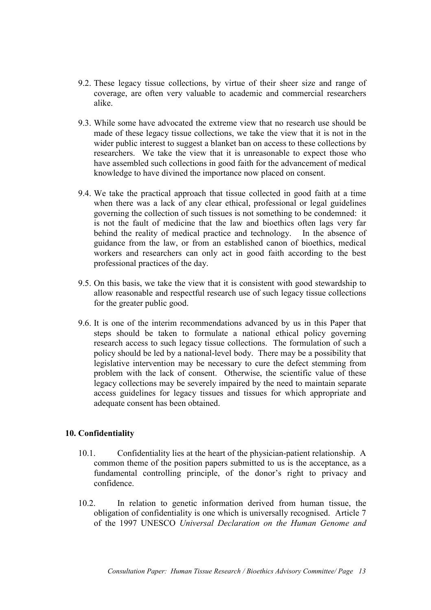- 9.2. These legacy tissue collections, by virtue of their sheer size and range of coverage, are often very valuable to academic and commercial researchers alike.
- 9.3. While some have advocated the extreme view that no research use should be made of these legacy tissue collections, we take the view that it is not in the wider public interest to suggest a blanket ban on access to these collections by researchers. We take the view that it is unreasonable to expect those who have assembled such collections in good faith for the advancement of medical knowledge to have divined the importance now placed on consent.
- 9.4. We take the practical approach that tissue collected in good faith at a time when there was a lack of any clear ethical, professional or legal guidelines governing the collection of such tissues is not something to be condemned: it is not the fault of medicine that the law and bioethics often lags very far behind the reality of medical practice and technology. In the absence of guidance from the law, or from an established canon of bioethics, medical workers and researchers can only act in good faith according to the best professional practices of the day.
- 9.5. On this basis, we take the view that it is consistent with good stewardship to allow reasonable and respectful research use of such legacy tissue collections for the greater public good.
- 9.6. It is one of the interim recommendations advanced by us in this Paper that steps should be taken to formulate a national ethical policy governing research access to such legacy tissue collections. The formulation of such a policy should be led by a national-level body. There may be a possibility that legislative intervention may be necessary to cure the defect stemming from problem with the lack of consent. Otherwise, the scientific value of these legacy collections may be severely impaired by the need to maintain separate access guidelines for legacy tissues and tissues for which appropriate and adequate consent has been obtained.

# **10. Confidentiality**

- 10.1. Confidentiality lies at the heart of the physician-patient relationship. A common theme of the position papers submitted to us is the acceptance, as a fundamental controlling principle, of the donor's right to privacy and confidence.
- 10.2. In relation to genetic information derived from human tissue, the obligation of confidentiality is one which is universally recognised. Article 7 of the 1997 UNESCO *Universal Declaration on the Human Genome and*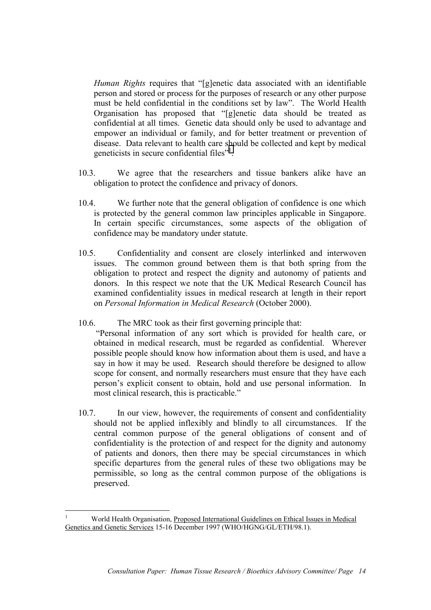*Human Rights* requires that "[g]enetic data associated with an identifiable person and stored or process for the purposes of research or any other purpose must be held confidential in the conditions set by law". The World Health Organisation has proposed that "[g]enetic data should be treated as confidential at all times. Genetic data should only be used to advantage and empower an individual or family, and for better treatment or prevention of disease. Data relevant to health care should be collected and kept by medical geneticists in secure confidential files"<sup>1</sup>.

- 10.3. We agree that the researchers and tissue bankers alike have an obligation to protect the confidence and privacy of donors.
- 10.4. We further note that the general obligation of confidence is one which is protected by the general common law principles applicable in Singapore. In certain specific circumstances, some aspects of the obligation of confidence may be mandatory under statute.
- 10.5. Confidentiality and consent are closely interlinked and interwoven issues. The common ground between them is that both spring from the obligation to protect and respect the dignity and autonomy of patients and donors. In this respect we note that the UK Medical Research Council has examined confidentiality issues in medical research at length in their report on *Personal Information in Medical Research* (October 2000).
- 10.6. The MRC took as their first governing principle that:

 "Personal information of any sort which is provided for health care, or obtained in medical research, must be regarded as confidential. Wherever possible people should know how information about them is used, and have a say in how it may be used. Research should therefore be designed to allow scope for consent, and normally researchers must ensure that they have each person's explicit consent to obtain, hold and use personal information. In most clinical research, this is practicable."

10.7. In our view, however, the requirements of consent and confidentiality should not be applied inflexibly and blindly to all circumstances. If the central common purpose of the general obligations of consent and of confidentiality is the protection of and respect for the dignity and autonomy of patients and donors, then there may be special circumstances in which specific departures from the general rules of these two obligations may be permissible, so long as the central common purpose of the obligations is preserved.

 $\overline{a}$ 

<sup>1</sup> World Health Organisation, Proposed International Guidelines on Ethical Issues in Medical Genetics and Genetic Services 15-16 December 1997 (WHO/HGNG/GL/ETH/98.1).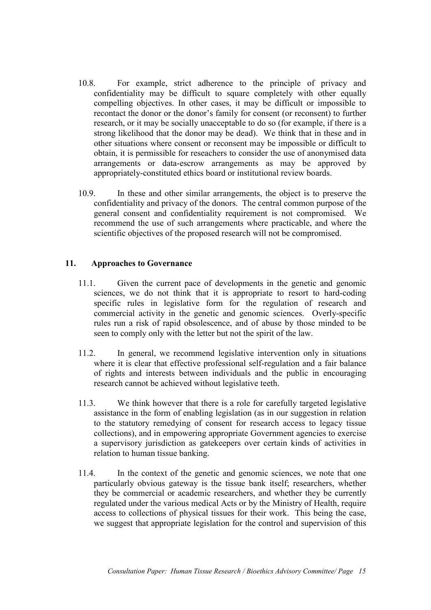- 10.8. For example, strict adherence to the principle of privacy and confidentiality may be difficult to square completely with other equally compelling objectives. In other cases, it may be difficult or impossible to recontact the donor or the donor's family for consent (or reconsent) to further research, or it may be socially unacceptable to do so (for example, if there is a strong likelihood that the donor may be dead). We think that in these and in other situations where consent or reconsent may be impossible or difficult to obtain, it is permissible for reseachers to consider the use of anonymised data arrangements or data-escrow arrangements as may be approved by appropriately-constituted ethics board or institutional review boards.
- 10.9. In these and other similar arrangements, the object is to preserve the confidentiality and privacy of the donors. The central common purpose of the general consent and confidentiality requirement is not compromised. We recommend the use of such arrangements where practicable, and where the scientific objectives of the proposed research will not be compromised.

# **11. Approaches to Governance**

- 11.1. Given the current pace of developments in the genetic and genomic sciences, we do not think that it is appropriate to resort to hard-coding specific rules in legislative form for the regulation of research and commercial activity in the genetic and genomic sciences. Overly-specific rules run a risk of rapid obsolescence, and of abuse by those minded to be seen to comply only with the letter but not the spirit of the law.
- 11.2. In general, we recommend legislative intervention only in situations where it is clear that effective professional self-regulation and a fair balance of rights and interests between individuals and the public in encouraging research cannot be achieved without legislative teeth.
- 11.3. We think however that there is a role for carefully targeted legislative assistance in the form of enabling legislation (as in our suggestion in relation to the statutory remedying of consent for research access to legacy tissue collections), and in empowering appropriate Government agencies to exercise a supervisory jurisdiction as gatekeepers over certain kinds of activities in relation to human tissue banking.
- 11.4. In the context of the genetic and genomic sciences, we note that one particularly obvious gateway is the tissue bank itself; researchers, whether they be commercial or academic researchers, and whether they be currently regulated under the various medical Acts or by the Ministry of Health, require access to collections of physical tissues for their work. This being the case, we suggest that appropriate legislation for the control and supervision of this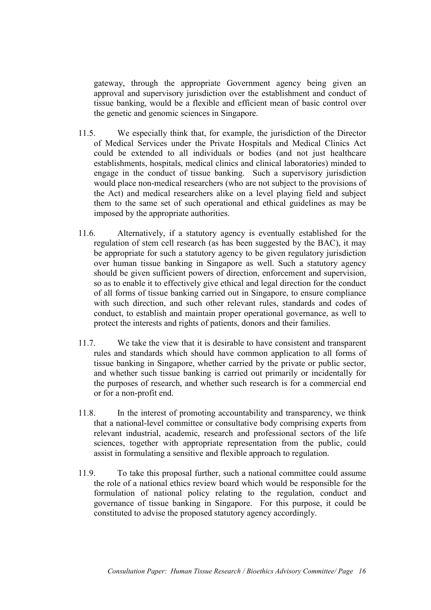gateway, through the appropriate Government agency being given an approval and supervisory jurisdiction over the establishment and conduct of tissue banking, would be a flexible and efficient mean of basic control over the genetic and genomic sciences in Singapore.

- 11.5. We especially think that, for example, the jurisdiction of the Director of Medical Services under the Private Hospitals and Medical Clinics Act could be extended to all individuals or bodies (and not just healthcare establishments, hospitals, medical clinics and clinical laboratories) minded to engage in the conduct of tissue banking. Such a supervisory jurisdiction would place non-medical researchers (who are not subject to the provisions of the Act) and medical researchers alike on a level playing field and subject them to the same set of such operational and ethical guidelines as may be imposed by the appropriate authorities.
- 11.6. Alternatively, if a statutory agency is eventually established for the regulation of stem cell research (as has been suggested by the BAC), it may be appropriate for such a statutory agency to be given regulatory jurisdiction over human tissue banking in Singapore as well. Such a statutory agency should be given sufficient powers of direction, enforcement and supervision, so as to enable it to effectively give ethical and legal direction for the conduct of all forms of tissue banking carried out in Singapore, to ensure compliance with such direction, and such other relevant rules, standards and codes of conduct, to establish and maintain proper operational governance, as well to protect the interests and rights of patients, donors and their families.
- 11.7. We take the view that it is desirable to have consistent and transparent rules and standards which should have common application to all forms of tissue banking in Singapore, whether carried by the private or public sector, and whether such tissue banking is carried out primarily or incidentally for the purposes of research, and whether such research is for a commercial end or for a non-profit end.
- 11.8. In the interest of promoting accountability and transparency, we think that a national-level committee or consultative body comprising experts from relevant industrial, academic, research and professional sectors of the life sciences, together with appropriate representation from the public, could assist in formulating a sensitive and flexible approach to regulation.
- 11.9. To take this proposal further, such a national committee could assume the role of a national ethics review board which would be responsible for the formulation of national policy relating to the regulation, conduct and governance of tissue banking in Singapore. For this purpose, it could be constituted to advise the proposed statutory agency accordingly.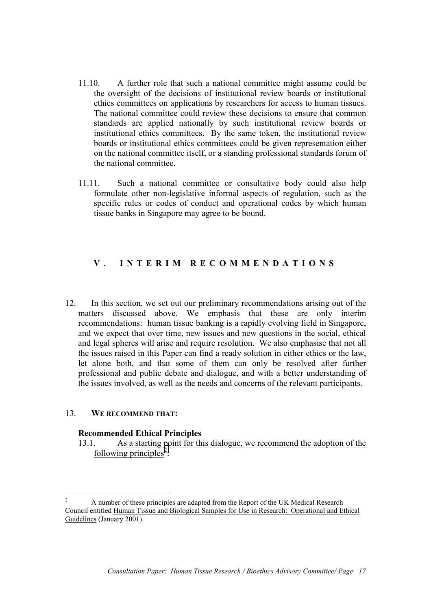- 11.10. A further role that such a national committee might assume could be the oversight of the decisions of institutional review boards or institutional ethics committees on applications by researchers for access to human tissues. The national committee could review these decisions to ensure that common standards are applied nationally by such institutional review boards or institutional ethics committees. By the same token, the institutional review boards or institutional ethics committees could be given representation either on the national committee itself, or a standing professional standards forum of the national committee.
- 11.11. Such a national committee or consultative body could also help formulate other non-legislative informal aspects of regulation, such as the specific rules or codes of conduct and operational codes by which human tissue banks in Singapore may agree to be bound.

# **V . I N T E R I M R E C O M M E N D A T I O N S**

12. In this section, we set out our preliminary recommendations arising out of the matters discussed above. We emphasis that these are only interim recommendations: human tissue banking is a rapidly evolving field in Singapore, and we expect that over time, new issues and new questions in the social, ethical and legal spheres will arise and require resolution. We also emphasise that not all the issues raised in this Paper can find a ready solution in either ethics or the law, let alone both, and that some of them can only be resolved after further professional and public debate and dialogue, and with a better understanding of the issues involved, as well as the needs and concerns of the relevant participants.

## 13. **WE RECOMMEND THAT:**

 $\overline{a}$ 

## **Recommended Ethical Principles**

13.1. As a starting point for this dialogue, we recommend the adoption of the following principles<sup>2</sup>:

<sup>2</sup> A number of these principles are adapted from the Report of the UK Medical Research Council entitled Human Tissue and Biological Samples for Use in Research: Operational and Ethical Guidelines (January 2001).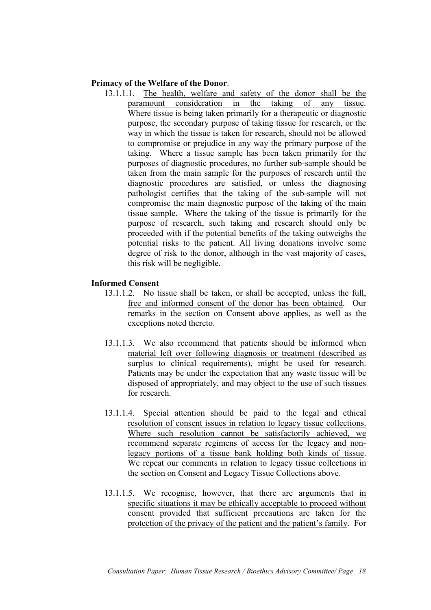## **Primacy of the Welfare of the Donor**.

13.1.1.1. The health, welfare and safety of the donor shall be the paramount consideration in the taking of any tissue. Where tissue is being taken primarily for a therapeutic or diagnostic purpose, the secondary purpose of taking tissue for research, or the way in which the tissue is taken for research, should not be allowed to compromise or prejudice in any way the primary purpose of the taking. Where a tissue sample has been taken primarily for the purposes of diagnostic procedures, no further sub-sample should be taken from the main sample for the purposes of research until the diagnostic procedures are satisfied, or unless the diagnosing pathologist certifies that the taking of the sub-sample will not compromise the main diagnostic purpose of the taking of the main tissue sample. Where the taking of the tissue is primarily for the purpose of research, such taking and research should only be proceeded with if the potential benefits of the taking outweighs the potential risks to the patient. All living donations involve some degree of risk to the donor, although in the vast majority of cases, this risk will be negligible.

## **Informed Consent**

- 13.1.1.2. No tissue shall be taken, or shall be accepted, unless the full, free and informed consent of the donor has been obtained. Our remarks in the section on Consent above applies, as well as the exceptions noted thereto.
- 13.1.1.3. We also recommend that patients should be informed when material left over following diagnosis or treatment (described as surplus to clinical requirements), might be used for research. Patients may be under the expectation that any waste tissue will be disposed of appropriately, and may object to the use of such tissues for research.
- 13.1.1.4. Special attention should be paid to the legal and ethical resolution of consent issues in relation to legacy tissue collections. Where such resolution cannot be satisfactorily achieved, we recommend separate regimens of access for the legacy and nonlegacy portions of a tissue bank holding both kinds of tissue. We repeat our comments in relation to legacy tissue collections in the section on Consent and Legacy Tissue Collections above.
- 13.1.1.5. We recognise, however, that there are arguments that in specific situations it may be ethically acceptable to proceed without consent provided that sufficient precautions are taken for the protection of the privacy of the patient and the patient's family. For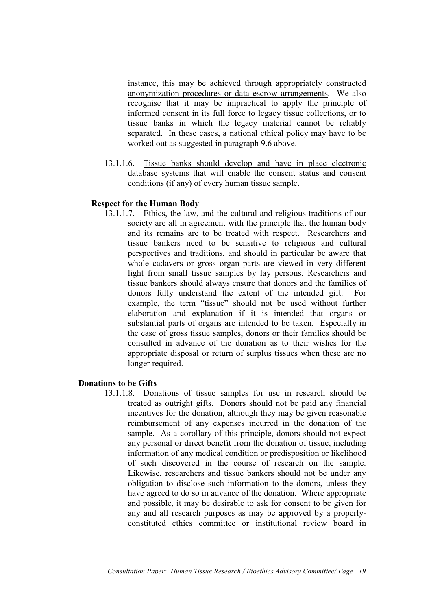instance, this may be achieved through appropriately constructed anonymization procedures or data escrow arrangements. We also recognise that it may be impractical to apply the principle of informed consent in its full force to legacy tissue collections, or to tissue banks in which the legacy material cannot be reliably separated. In these cases, a national ethical policy may have to be worked out as suggested in paragraph 9.6 above.

13.1.1.6. Tissue banks should develop and have in place electronic database systems that will enable the consent status and consent conditions (if any) of every human tissue sample.

# **Respect for the Human Body**

13.1.1.7. Ethics, the law, and the cultural and religious traditions of our society are all in agreement with the principle that the human body and its remains are to be treated with respect. Researchers and tissue bankers need to be sensitive to religious and cultural perspectives and traditions, and should in particular be aware that whole cadavers or gross organ parts are viewed in very different light from small tissue samples by lay persons. Researchers and tissue bankers should always ensure that donors and the families of donors fully understand the extent of the intended gift. For example, the term "tissue" should not be used without further elaboration and explanation if it is intended that organs or substantial parts of organs are intended to be taken. Especially in the case of gross tissue samples, donors or their families should be consulted in advance of the donation as to their wishes for the appropriate disposal or return of surplus tissues when these are no longer required.

## **Donations to be Gifts**

13.1.1.8. Donations of tissue samples for use in research should be treated as outright gifts. Donors should not be paid any financial incentives for the donation, although they may be given reasonable reimbursement of any expenses incurred in the donation of the sample. As a corollary of this principle, donors should not expect any personal or direct benefit from the donation of tissue, including information of any medical condition or predisposition or likelihood of such discovered in the course of research on the sample. Likewise, researchers and tissue bankers should not be under any obligation to disclose such information to the donors, unless they have agreed to do so in advance of the donation. Where appropriate and possible, it may be desirable to ask for consent to be given for any and all research purposes as may be approved by a properlyconstituted ethics committee or institutional review board in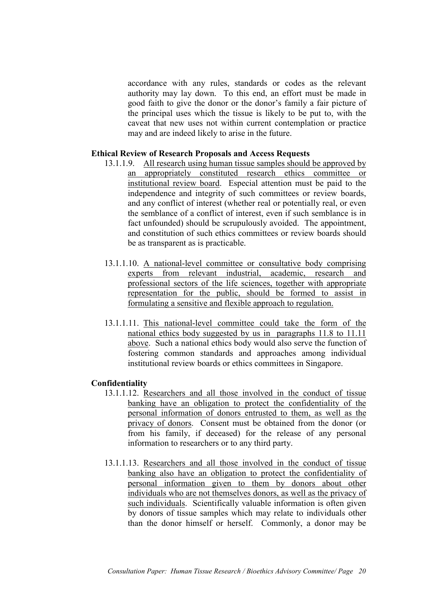accordance with any rules, standards or codes as the relevant authority may lay down. To this end, an effort must be made in good faith to give the donor or the donor's family a fair picture of the principal uses which the tissue is likely to be put to, with the caveat that new uses not within current contemplation or practice may and are indeed likely to arise in the future.

## **Ethical Review of Research Proposals and Access Requests**

- 13.1.1.9. All research using human tissue samples should be approved by an appropriately constituted research ethics committee or institutional review board. Especial attention must be paid to the independence and integrity of such committees or review boards, and any conflict of interest (whether real or potentially real, or even the semblance of a conflict of interest, even if such semblance is in fact unfounded) should be scrupulously avoided. The appointment, and constitution of such ethics committees or review boards should be as transparent as is practicable.
- 13.1.1.10. A national-level committee or consultative body comprising experts from relevant industrial, academic, research and professional sectors of the life sciences, together with appropriate representation for the public, should be formed to assist in formulating a sensitive and flexible approach to regulation.
- 13.1.1.11. This national-level committee could take the form of the national ethics body suggested by us in paragraphs 11.8 to 11.11 above. Such a national ethics body would also serve the function of fostering common standards and approaches among individual institutional review boards or ethics committees in Singapore.

## **Confidentiality**

- 13.1.1.12. Researchers and all those involved in the conduct of tissue banking have an obligation to protect the confidentiality of the personal information of donors entrusted to them, as well as the privacy of donors. Consent must be obtained from the donor (or from his family, if deceased) for the release of any personal information to researchers or to any third party.
- 13.1.1.13. Researchers and all those involved in the conduct of tissue banking also have an obligation to protect the confidentiality of personal information given to them by donors about other individuals who are not themselves donors, as well as the privacy of such individuals. Scientifically valuable information is often given by donors of tissue samples which may relate to individuals other than the donor himself or herself. Commonly, a donor may be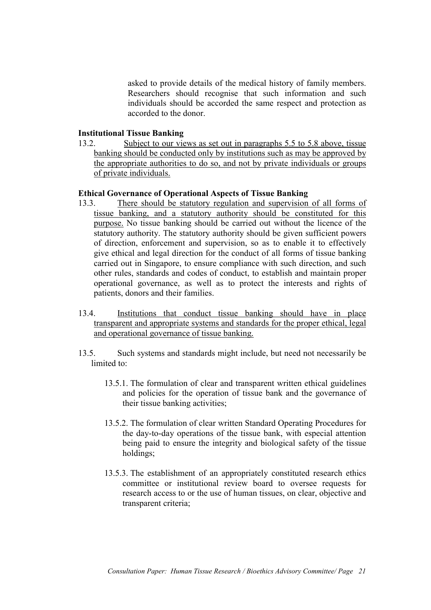asked to provide details of the medical history of family members. Researchers should recognise that such information and such individuals should be accorded the same respect and protection as accorded to the donor.

## **Institutional Tissue Banking**

13.2. Subject to our views as set out in paragraphs 5.5 to 5.8 above, tissue banking should be conducted only by institutions such as may be approved by the appropriate authorities to do so, and not by private individuals or groups of private individuals.

## **Ethical Governance of Operational Aspects of Tissue Banking**

- 13.3. There should be statutory regulation and supervision of all forms of tissue banking, and a statutory authority should be constituted for this purpose. No tissue banking should be carried out without the licence of the statutory authority. The statutory authority should be given sufficient powers of direction, enforcement and supervision, so as to enable it to effectively give ethical and legal direction for the conduct of all forms of tissue banking carried out in Singapore, to ensure compliance with such direction, and such other rules, standards and codes of conduct, to establish and maintain proper operational governance, as well as to protect the interests and rights of patients, donors and their families.
- 13.4. Institutions that conduct tissue banking should have in place transparent and appropriate systems and standards for the proper ethical, legal and operational governance of tissue banking.
- 13.5. Such systems and standards might include, but need not necessarily be limited to:
	- 13.5.1. The formulation of clear and transparent written ethical guidelines and policies for the operation of tissue bank and the governance of their tissue banking activities;
	- 13.5.2. The formulation of clear written Standard Operating Procedures for the day-to-day operations of the tissue bank, with especial attention being paid to ensure the integrity and biological safety of the tissue holdings;
	- 13.5.3. The establishment of an appropriately constituted research ethics committee or institutional review board to oversee requests for research access to or the use of human tissues, on clear, objective and transparent criteria;